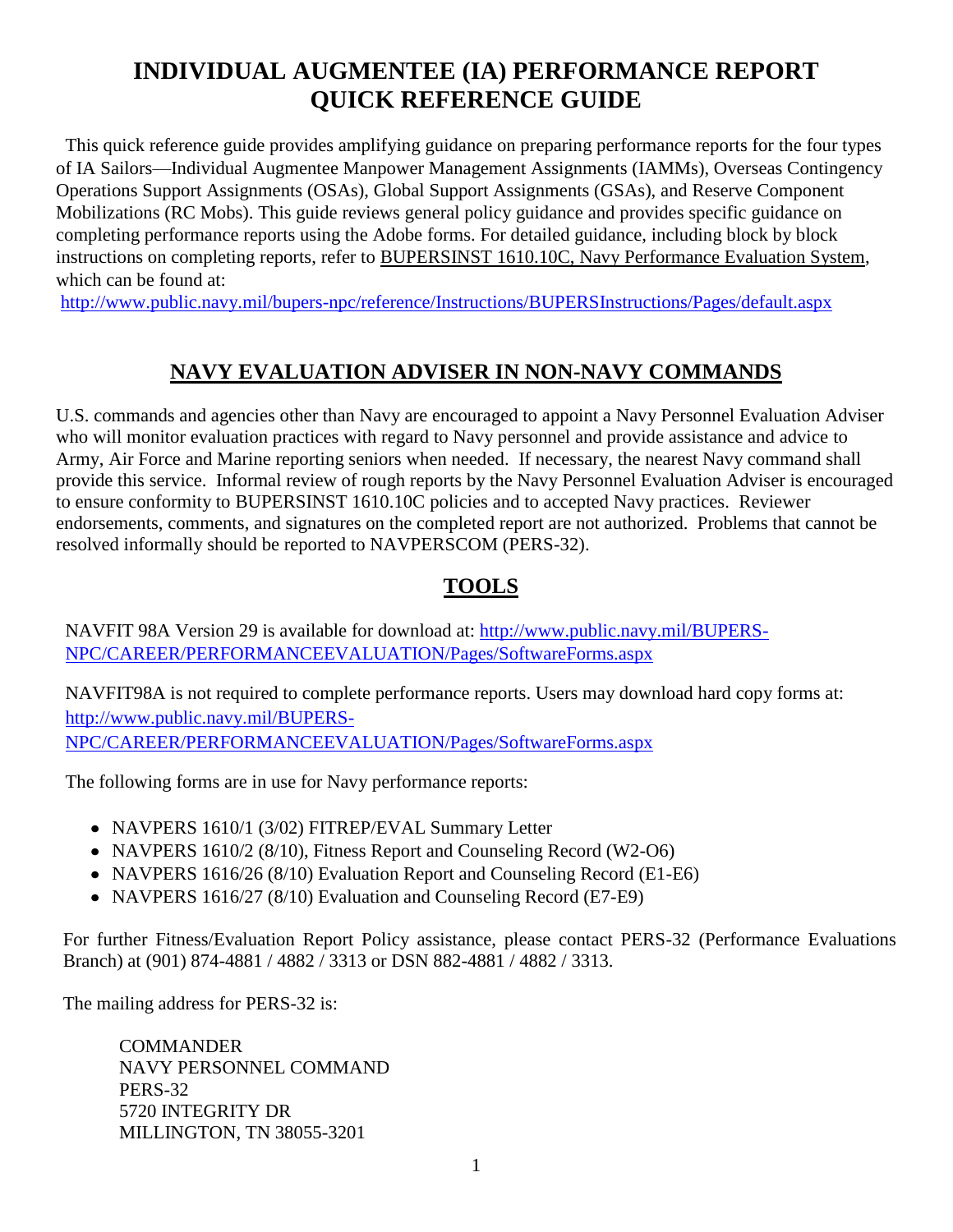# **INDIVIDUAL AUGMENTEE (IA) PERFORMANCE REPORT QUICK REFERENCE GUIDE**

This quick reference guide provides amplifying guidance on preparing performance reports for the four types of IA Sailors—Individual Augmentee Manpower Management Assignments (IAMMs), Overseas Contingency Operations Support Assignments (OSAs), Global Support Assignments (GSAs), and Reserve Component Mobilizations (RC Mobs). This guide reviews general policy guidance and provides specific guidance on completing performance reports using the Adobe forms. For detailed guidance, including block by block instructions on completing reports, refer to BUPERSINST 1610.10C, Navy Performance Evaluation System, which can be found at:

<http://www.public.navy.mil/bupers-npc/reference/Instructions/BUPERSInstructions/Pages/default.aspx>

## **NAVY EVALUATION ADVISER IN NON-NAVY COMMANDS**

U.S. commands and agencies other than Navy are encouraged to appoint a Navy Personnel Evaluation Adviser who will monitor evaluation practices with regard to Navy personnel and provide assistance and advice to Army, Air Force and Marine reporting seniors when needed. If necessary, the nearest Navy command shall provide this service. Informal review of rough reports by the Navy Personnel Evaluation Adviser is encouraged to ensure conformity to BUPERSINST 1610.10C policies and to accepted Navy practices. Reviewer endorsements, comments, and signatures on the completed report are not authorized. Problems that cannot be resolved informally should be reported to NAVPERSCOM (PERS-32).

## **TOOLS**

NAVFIT 98A Version 29 is available for download at: [http://www.public.navy.mil/BUPERS-](http://www.public.navy.mil/BUPERS-NPC/CAREER/PERFORMANCEEVALUATION/Pages/SoftwareForms.aspx)[NPC/CAREER/PERFORMANCEEVALUATION/Pages/SoftwareForms.aspx](http://www.public.navy.mil/BUPERS-NPC/CAREER/PERFORMANCEEVALUATION/Pages/SoftwareForms.aspx)

NAVFIT98A is not required to complete performance reports. Users may download hard copy forms at: [http://www.public.navy.mil/BUPERS-](http://www.public.navy.mil/BUPERS-NPC/CAREER/PERFORMANCEEVALUATION/Pages/SoftwareForms.aspx)[NPC/CAREER/PERFORMANCEEVALUATION/Pages/SoftwareForms.aspx](http://www.public.navy.mil/BUPERS-NPC/CAREER/PERFORMANCEEVALUATION/Pages/SoftwareForms.aspx) 

The following forms are in use for Navy performance reports:

- NAVPERS 1610/1 (3/02) FITREP/EVAL Summary Letter
- NAVPERS 1610/2 (8/10), Fitness Report and Counseling Record (W2-O6)
- NAVPERS 1616/26 (8/10) Evaluation Report and Counseling Record (E1-E6)
- NAVPERS 1616/27 (8/10) Evaluation and Counseling Record (E7-E9)

For further Fitness/Evaluation Report Policy assistance, please contact PERS-32 (Performance Evaluations Branch) at (901) 874-4881 / 4882 / 3313 or DSN 882-4881 / 4882 / 3313.

The mailing address for PERS-32 is:

**COMMANDER** NAVY PERSONNEL COMMAND PERS-32 5720 INTEGRITY DR MILLINGTON, TN 38055-3201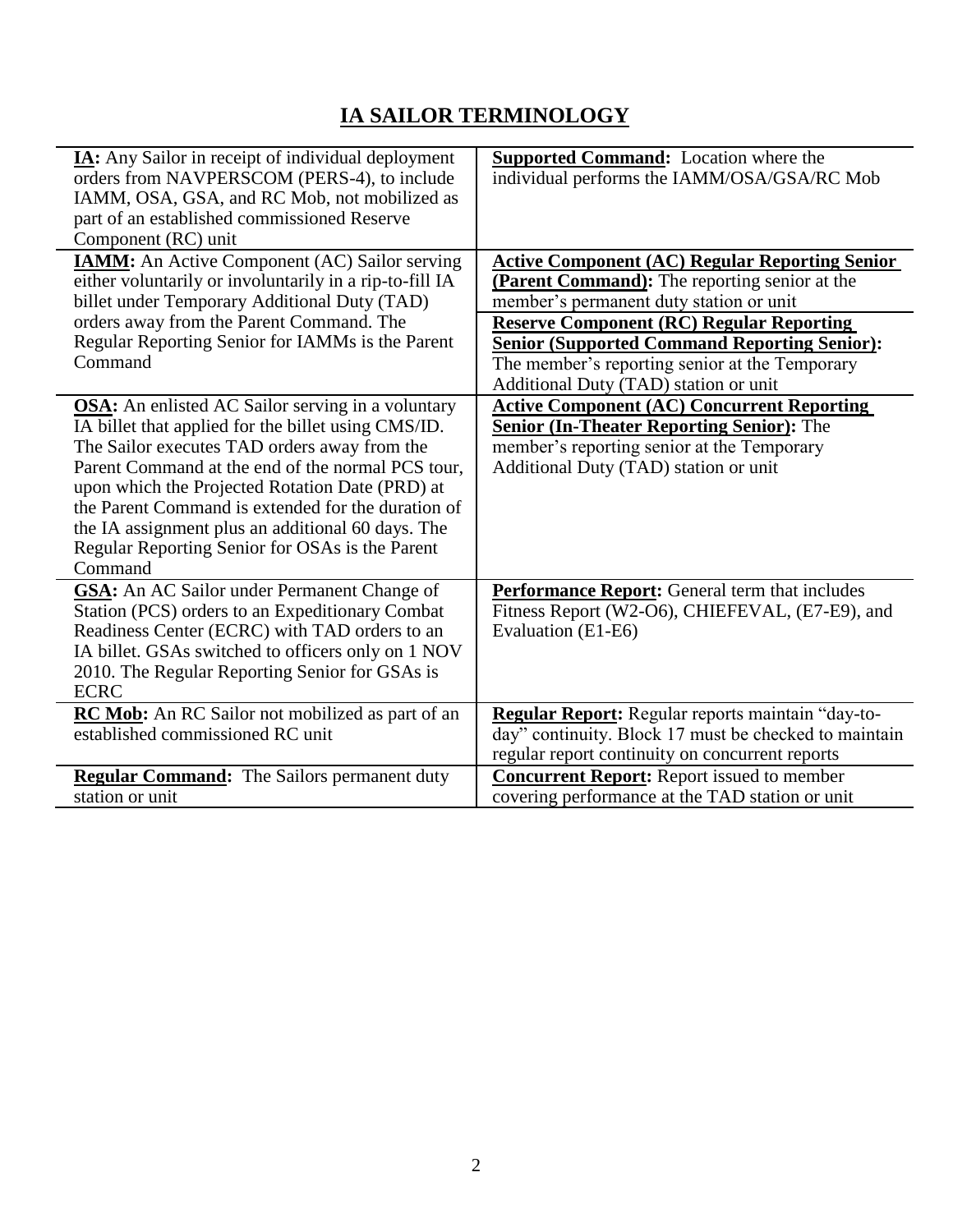# **IA SAILOR TERMINOLOGY**

 $\overline{\phantom{0}}$ 

| IA: Any Sailor in receipt of individual deployment<br>orders from NAVPERSCOM (PERS-4), to include<br>IAMM, OSA, GSA, and RC Mob, not mobilized as                                                                                                                                                                                                                                                                                                | <b>Supported Command:</b> Location where the<br>individual performs the IAMM/OSA/GSA/RC Mob                                                                                                                                                                 |
|--------------------------------------------------------------------------------------------------------------------------------------------------------------------------------------------------------------------------------------------------------------------------------------------------------------------------------------------------------------------------------------------------------------------------------------------------|-------------------------------------------------------------------------------------------------------------------------------------------------------------------------------------------------------------------------------------------------------------|
| part of an established commissioned Reserve<br>Component (RC) unit                                                                                                                                                                                                                                                                                                                                                                               |                                                                                                                                                                                                                                                             |
| <b>IAMM:</b> An Active Component (AC) Sailor serving<br>either voluntarily or involuntarily in a rip-to-fill IA<br>billet under Temporary Additional Duty (TAD)<br>orders away from the Parent Command. The<br>Regular Reporting Senior for IAMMs is the Parent                                                                                                                                                                                  | <b>Active Component (AC) Regular Reporting Senior</b><br>(Parent Command): The reporting senior at the<br>member's permanent duty station or unit<br><b>Reserve Component (RC) Regular Reporting</b><br><b>Senior (Supported Command Reporting Senior):</b> |
| Command                                                                                                                                                                                                                                                                                                                                                                                                                                          | The member's reporting senior at the Temporary<br>Additional Duty (TAD) station or unit                                                                                                                                                                     |
| <b>OSA:</b> An enlisted AC Sailor serving in a voluntary<br>IA billet that applied for the billet using CMS/ID.<br>The Sailor executes TAD orders away from the<br>Parent Command at the end of the normal PCS tour,<br>upon which the Projected Rotation Date (PRD) at<br>the Parent Command is extended for the duration of<br>the IA assignment plus an additional 60 days. The<br>Regular Reporting Senior for OSAs is the Parent<br>Command | <b>Active Component (AC) Concurrent Reporting</b><br><b>Senior (In-Theater Reporting Senior):</b> The<br>member's reporting senior at the Temporary<br>Additional Duty (TAD) station or unit                                                                |
| <b>GSA:</b> An AC Sailor under Permanent Change of<br>Station (PCS) orders to an Expeditionary Combat<br>Readiness Center (ECRC) with TAD orders to an<br>IA billet. GSAs switched to officers only on 1 NOV<br>2010. The Regular Reporting Senior for GSAs is<br><b>ECRC</b>                                                                                                                                                                    | <b>Performance Report:</b> General term that includes<br>Fitness Report (W2-O6), CHIEFEVAL, (E7-E9), and<br>Evaluation (E1-E6)                                                                                                                              |
| <b>RC Mob:</b> An RC Sailor not mobilized as part of an<br>established commissioned RC unit                                                                                                                                                                                                                                                                                                                                                      | Regular Report: Regular reports maintain "day-to-<br>day" continuity. Block 17 must be checked to maintain<br>regular report continuity on concurrent reports                                                                                               |
| <b>Regular Command:</b> The Sailors permanent duty<br>station or unit                                                                                                                                                                                                                                                                                                                                                                            | <b>Concurrent Report:</b> Report issued to member<br>covering performance at the TAD station or unit                                                                                                                                                        |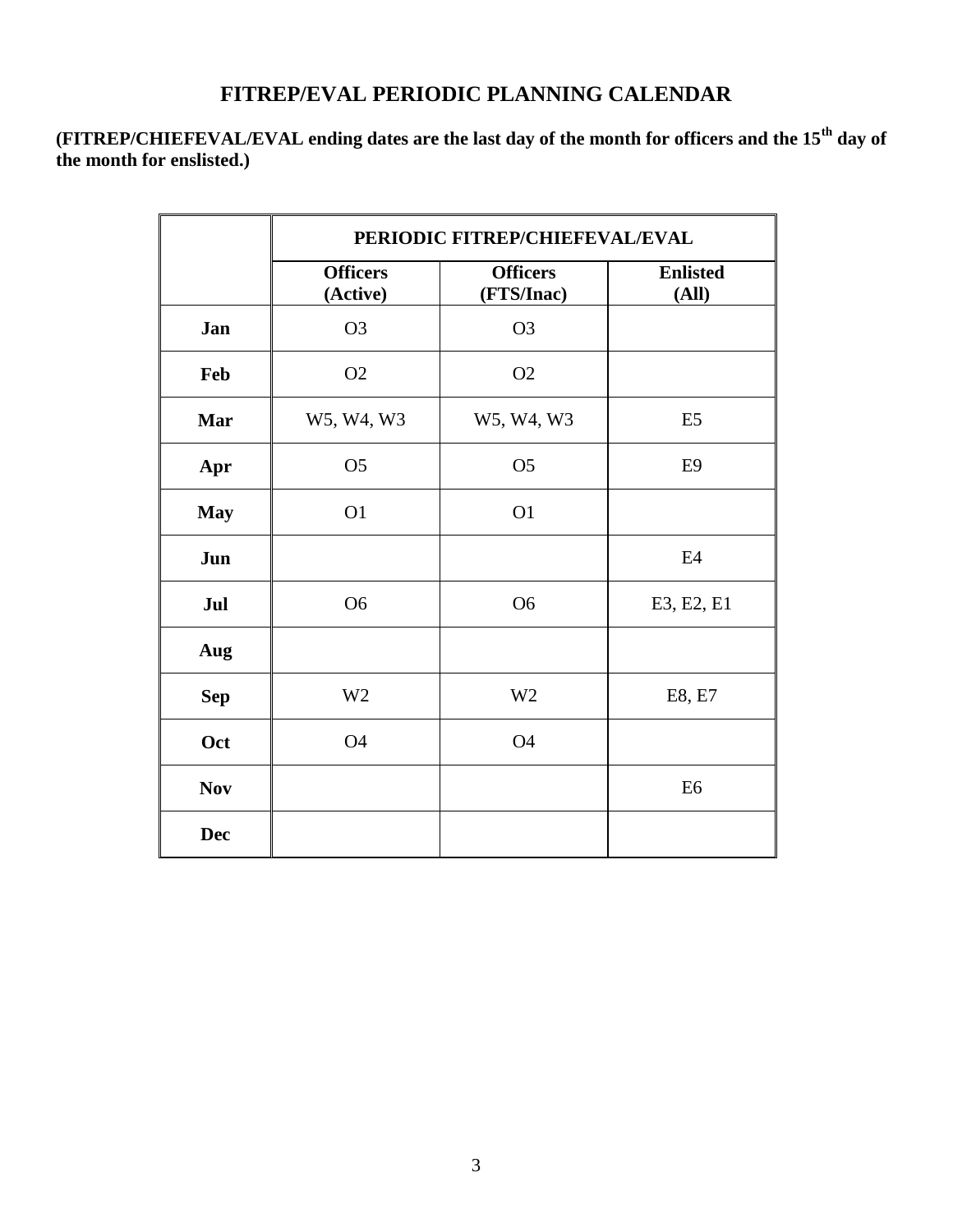### **FITREP/EVAL PERIODIC PLANNING CALENDAR**

**(FITREP/CHIEFEVAL/EVAL ending dates are the last day of the month for officers and the 15th day of the month for enslisted.)**

|            | PERIODIC FITREP/CHIEFEVAL/EVAL |                               |                          |
|------------|--------------------------------|-------------------------------|--------------------------|
|            | <b>Officers</b><br>(Active)    | <b>Officers</b><br>(FTS/Inac) | <b>Enlisted</b><br>(All) |
| Jan        | O <sub>3</sub>                 | O <sub>3</sub>                |                          |
| Feb        | O2                             | O2                            |                          |
| Mar        | W5, W4, W3                     | W5, W4, W3                    | E <sub>5</sub>           |
| Apr        | O <sub>5</sub>                 | O <sub>5</sub>                | E <sub>9</sub>           |
| <b>May</b> | O <sub>1</sub>                 | O <sub>1</sub>                |                          |
| Jun        |                                |                               | E <sub>4</sub>           |
| Jul        | O <sub>6</sub>                 | O <sub>6</sub>                | E3, E2, E1               |
| Aug        |                                |                               |                          |
| <b>Sep</b> | W <sub>2</sub>                 | W <sub>2</sub>                | E8, E7                   |
| Oct        | <b>O4</b>                      | <b>O4</b>                     |                          |
| <b>Nov</b> |                                |                               | E <sub>6</sub>           |
| <b>Dec</b> |                                |                               |                          |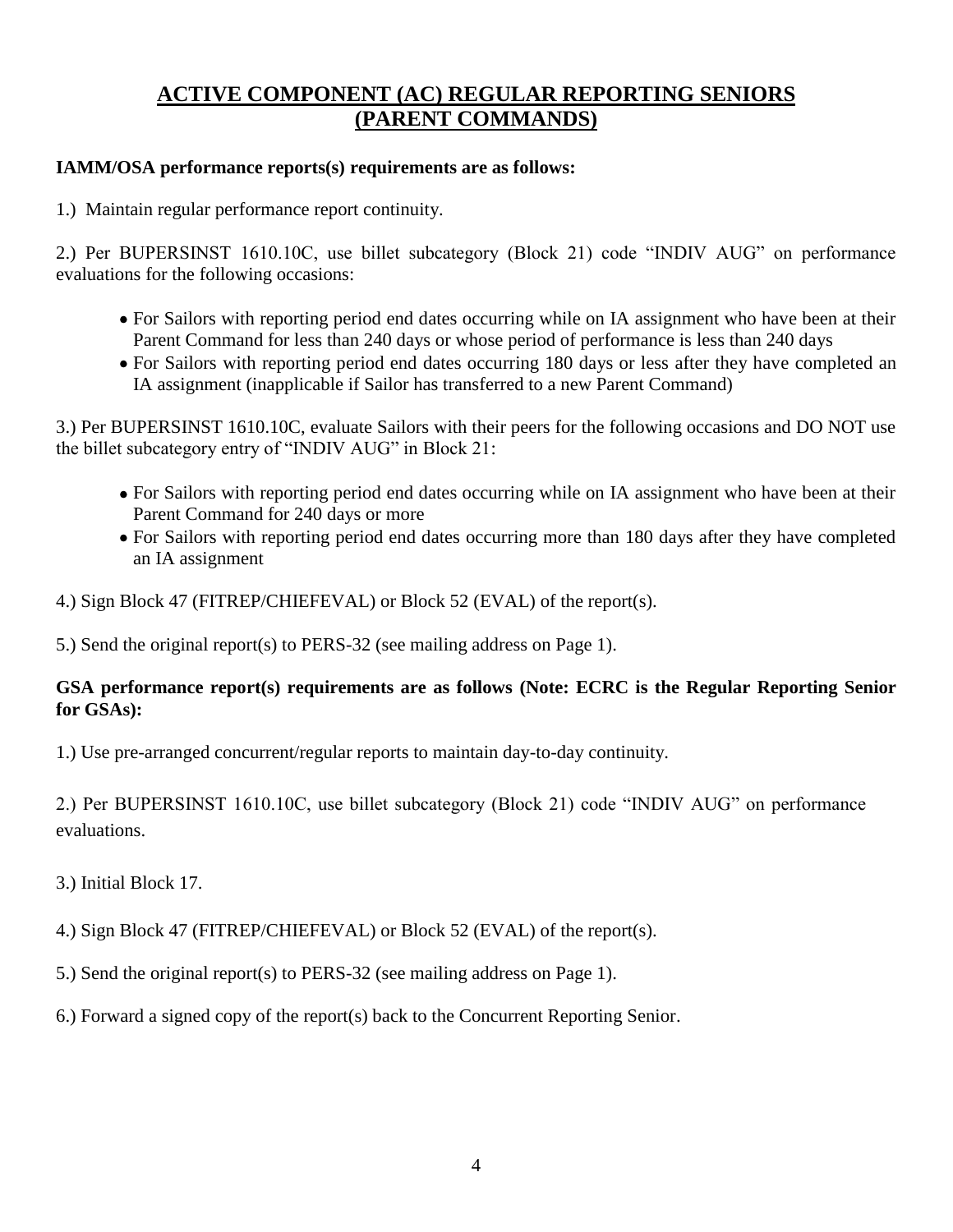## **ACTIVE COMPONENT (AC) REGULAR REPORTING SENIORS (PARENT COMMANDS)**

#### **IAMM/OSA performance reports(s) requirements are as follows:**

1.) Maintain regular performance report continuity.

2.) Per BUPERSINST 1610.10C, use billet subcategory (Block 21) code "INDIV AUG" on performance evaluations for the following occasions:

- For Sailors with reporting period end dates occurring while on IA assignment who have been at their Parent Command for less than 240 days or whose period of performance is less than 240 days
- For Sailors with reporting period end dates occurring 180 days or less after they have completed an IA assignment (inapplicable if Sailor has transferred to a new Parent Command)

3.) Per BUPERSINST 1610.10C, evaluate Sailors with their peers for the following occasions and DO NOT use the billet subcategory entry of "INDIV AUG" in Block 21:

- For Sailors with reporting period end dates occurring while on IA assignment who have been at their Parent Command for 240 days or more
- For Sailors with reporting period end dates occurring more than 180 days after they have completed an IA assignment
- 4.) Sign Block 47 (FITREP/CHIEFEVAL) or Block 52 (EVAL) of the report(s).

5.) Send the original report(s) to PERS-32 (see mailing address on Page 1).

#### **GSA performance report(s) requirements are as follows (Note: ECRC is the Regular Reporting Senior for GSAs):**

1.) Use pre-arranged concurrent/regular reports to maintain day-to-day continuity.

2.) Per BUPERSINST 1610.10C, use billet subcategory (Block 21) code "INDIV AUG" on performance evaluations.

3.) Initial Block 17.

- 4.) Sign Block 47 (FITREP/CHIEFEVAL) or Block 52 (EVAL) of the report(s).
- 5.) Send the original report(s) to PERS-32 (see mailing address on Page 1).
- 6.) Forward a signed copy of the report(s) back to the Concurrent Reporting Senior.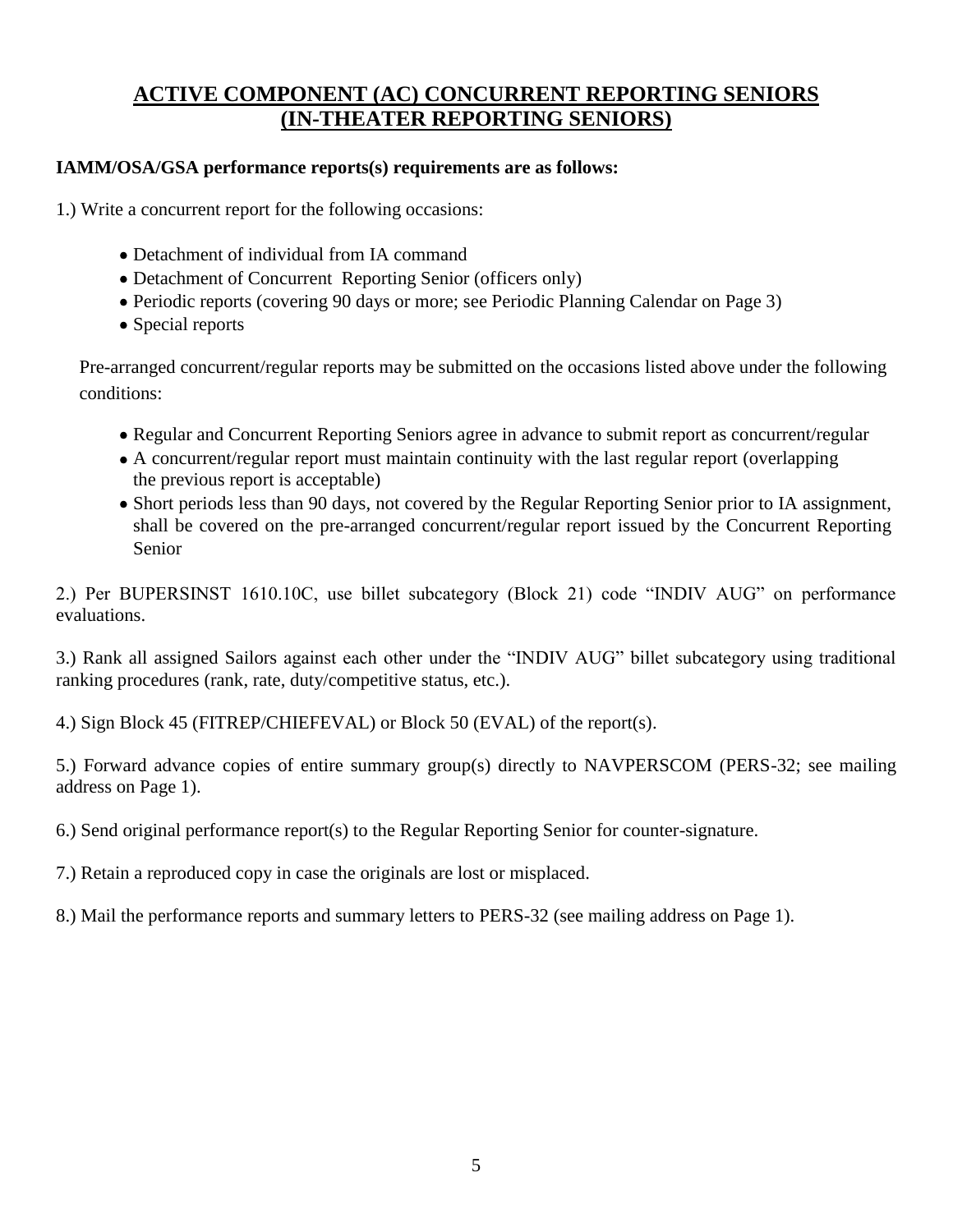## **ACTIVE COMPONENT (AC) CONCURRENT REPORTING SENIORS (IN-THEATER REPORTING SENIORS)**

#### **IAMM/OSA/GSA performance reports(s) requirements are as follows:**

1.) Write a concurrent report for the following occasions:

- Detachment of individual from IA command
- Detachment of Concurrent Reporting Senior (officers only)
- Periodic reports (covering 90 days or more; see Periodic Planning Calendar on Page 3)
- Special reports

Pre-arranged concurrent/regular reports may be submitted on the occasions listed above under the following conditions:

- Regular and Concurrent Reporting Seniors agree in advance to submit report as concurrent/regular
- A concurrent/regular report must maintain continuity with the last regular report (overlapping the previous report is acceptable)
- Short periods less than 90 days, not covered by the Regular Reporting Senior prior to IA assignment, shall be covered on the pre-arranged concurrent/regular report issued by the Concurrent Reporting Senior

2.) Per BUPERSINST 1610.10C, use billet subcategory (Block 21) code "INDIV AUG" on performance evaluations.

3.) Rank all assigned Sailors against each other under the "INDIV AUG" billet subcategory using traditional ranking procedures (rank, rate, duty/competitive status, etc.).

4.) Sign Block 45 (FITREP/CHIEFEVAL) or Block 50 (EVAL) of the report(s).

5.) Forward advance copies of entire summary group(s) directly to NAVPERSCOM (PERS-32; see mailing address on Page 1).

6.) Send original performance report(s) to the Regular Reporting Senior for counter-signature.

7.) Retain a reproduced copy in case the originals are lost or misplaced.

8.) Mail the performance reports and summary letters to PERS-32 (see mailing address on Page 1).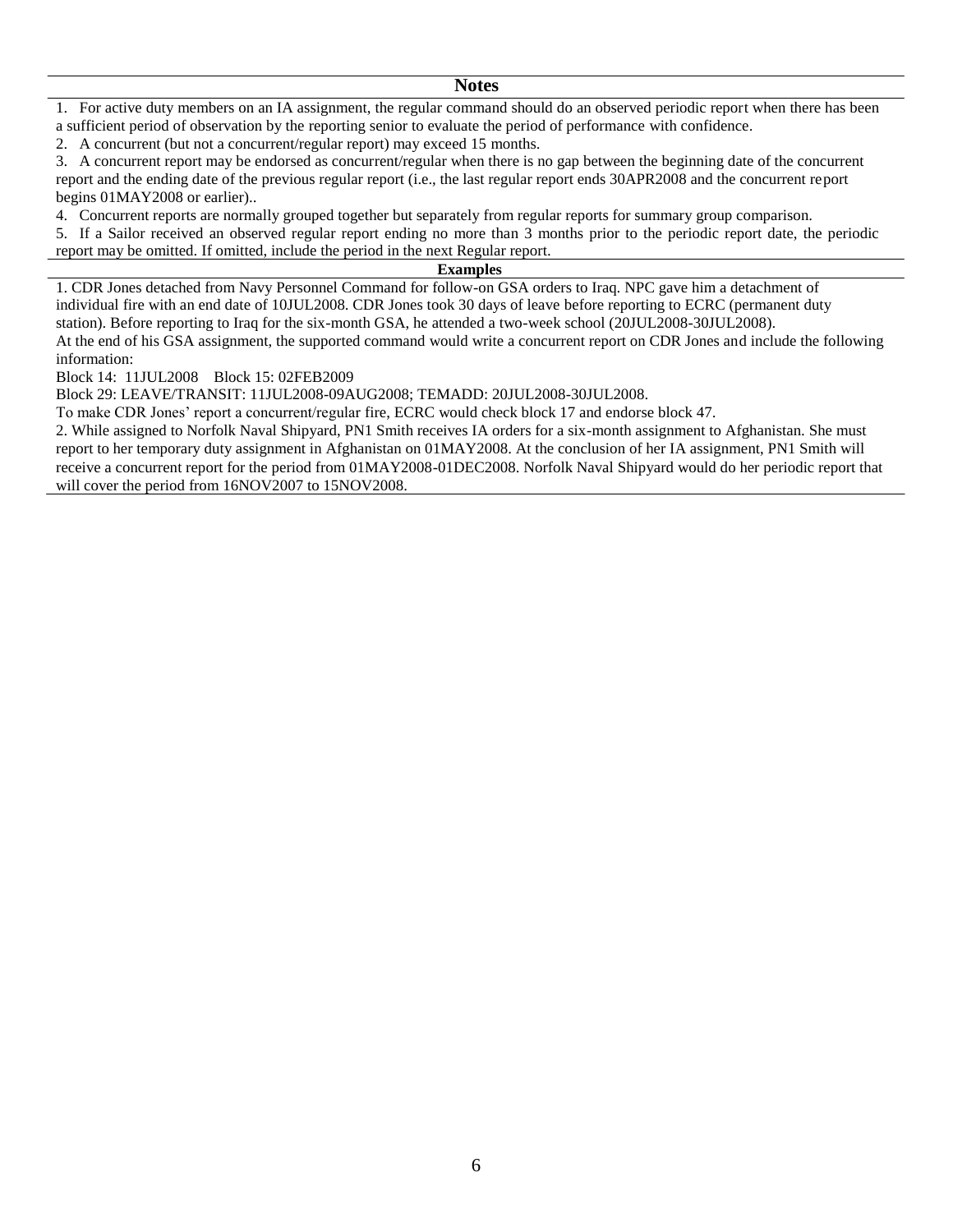#### **Notes**

1. For active duty members on an IA assignment, the regular command should do an observed periodic report when there has been a sufficient period of observation by the reporting senior to evaluate the period of performance with confidence.

2. A concurrent (but not a concurrent/regular report) may exceed 15 months.

3. A concurrent report may be endorsed as concurrent/regular when there is no gap between the beginning date of the concurrent report and the ending date of the previous regular report (i.e., the last regular report ends 30APR2008 and the concurrent report begins 01MAY2008 or earlier)..

4. Concurrent reports are normally grouped together but separately from regular reports for summary group comparison.

5. If a Sailor received an observed regular report ending no more than 3 months prior to the periodic report date, the periodic report may be omitted. If omitted, include the period in the next Regular report.

#### **Examples**

1. CDR Jones detached from Navy Personnel Command for follow-on GSA orders to Iraq. NPC gave him a detachment of individual fire with an end date of 10JUL2008. CDR Jones took 30 days of leave before reporting to ECRC (permanent duty station). Before reporting to Iraq for the six-month GSA, he attended a two-week school (20JUL2008-30JUL2008). At the end of his GSA assignment, the supported command would write a concurrent report on CDR Jones and include the following information:

Block 14: 11JUL2008 Block 15: 02FEB2009

Block 29: LEAVE/TRANSIT: 11JUL2008-09AUG2008; TEMADD: 20JUL2008-30JUL2008.

To make CDR Jones' report a concurrent/regular fire, ECRC would check block 17 and endorse block 47.

2. While assigned to Norfolk Naval Shipyard, PN1 Smith receives IA orders for a six-month assignment to Afghanistan. She must report to her temporary duty assignment in Afghanistan on 01MAY2008. At the conclusion of her IA assignment, PN1 Smith will receive a concurrent report for the period from 01MAY2008-01DEC2008. Norfolk Naval Shipyard would do her periodic report that will cover the period from 16NOV2007 to 15NOV2008.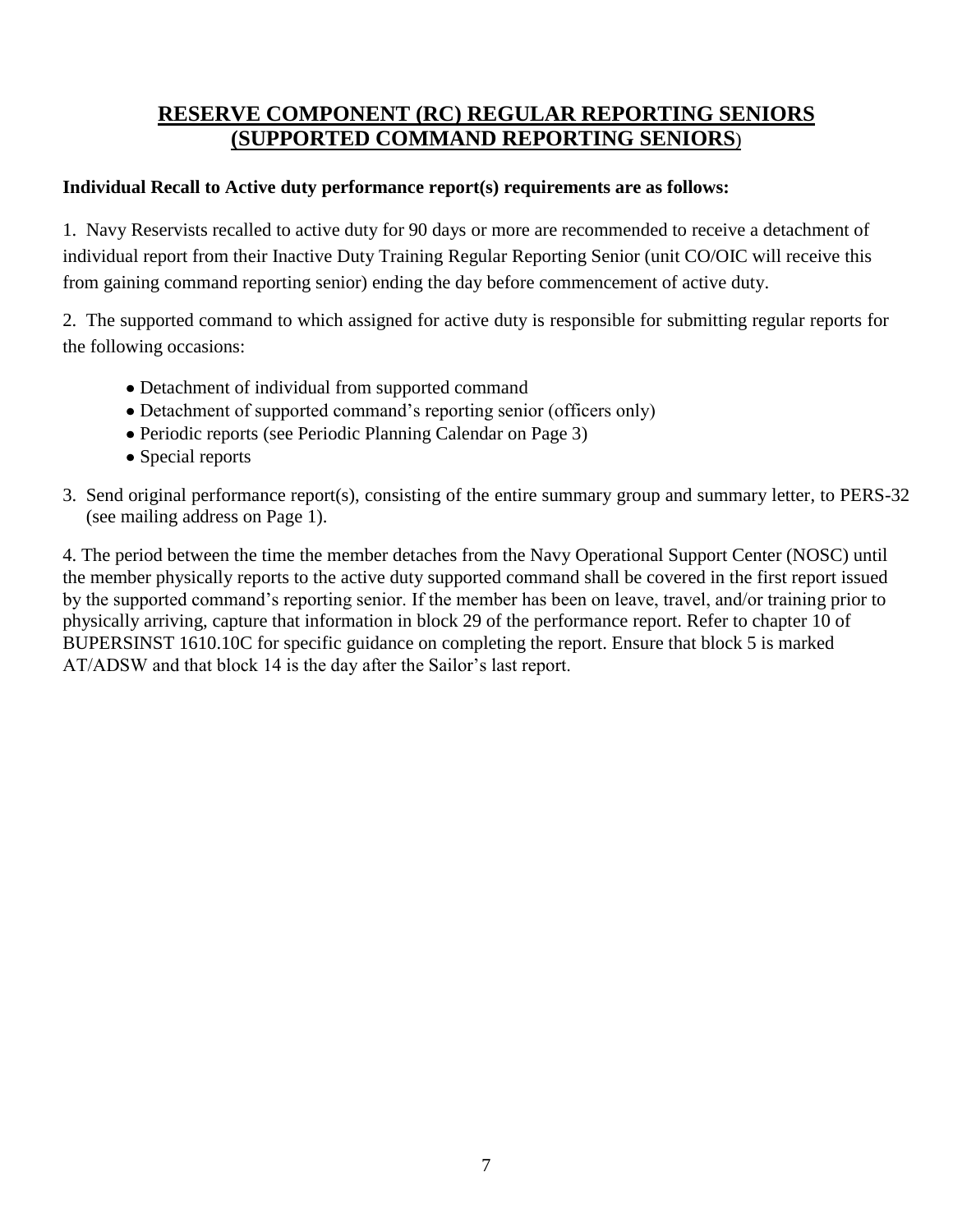## **RESERVE COMPONENT (RC) REGULAR REPORTING SENIORS (SUPPORTED COMMAND REPORTING SENIORS**)

#### **Individual Recall to Active duty performance report(s) requirements are as follows:**

1. Navy Reservists recalled to active duty for 90 days or more are recommended to receive a detachment of individual report from their Inactive Duty Training Regular Reporting Senior (unit CO/OIC will receive this from gaining command reporting senior) ending the day before commencement of active duty.

2. The supported command to which assigned for active duty is responsible for submitting regular reports for the following occasions:

- Detachment of individual from supported command
- Detachment of supported command's reporting senior (officers only)
- Periodic reports (see Periodic Planning Calendar on Page 3)
- Special reports
- 3. Send original performance report(s), consisting of the entire summary group and summary letter, to PERS-32 (see mailing address on Page 1).

4. The period between the time the member detaches from the Navy Operational Support Center (NOSC) until the member physically reports to the active duty supported command shall be covered in the first report issued by the supported command's reporting senior. If the member has been on leave, travel, and/or training prior to physically arriving, capture that information in block 29 of the performance report. Refer to chapter 10 of BUPERSINST 1610.10C for specific guidance on completing the report. Ensure that block 5 is marked AT/ADSW and that block 14 is the day after the Sailor's last report.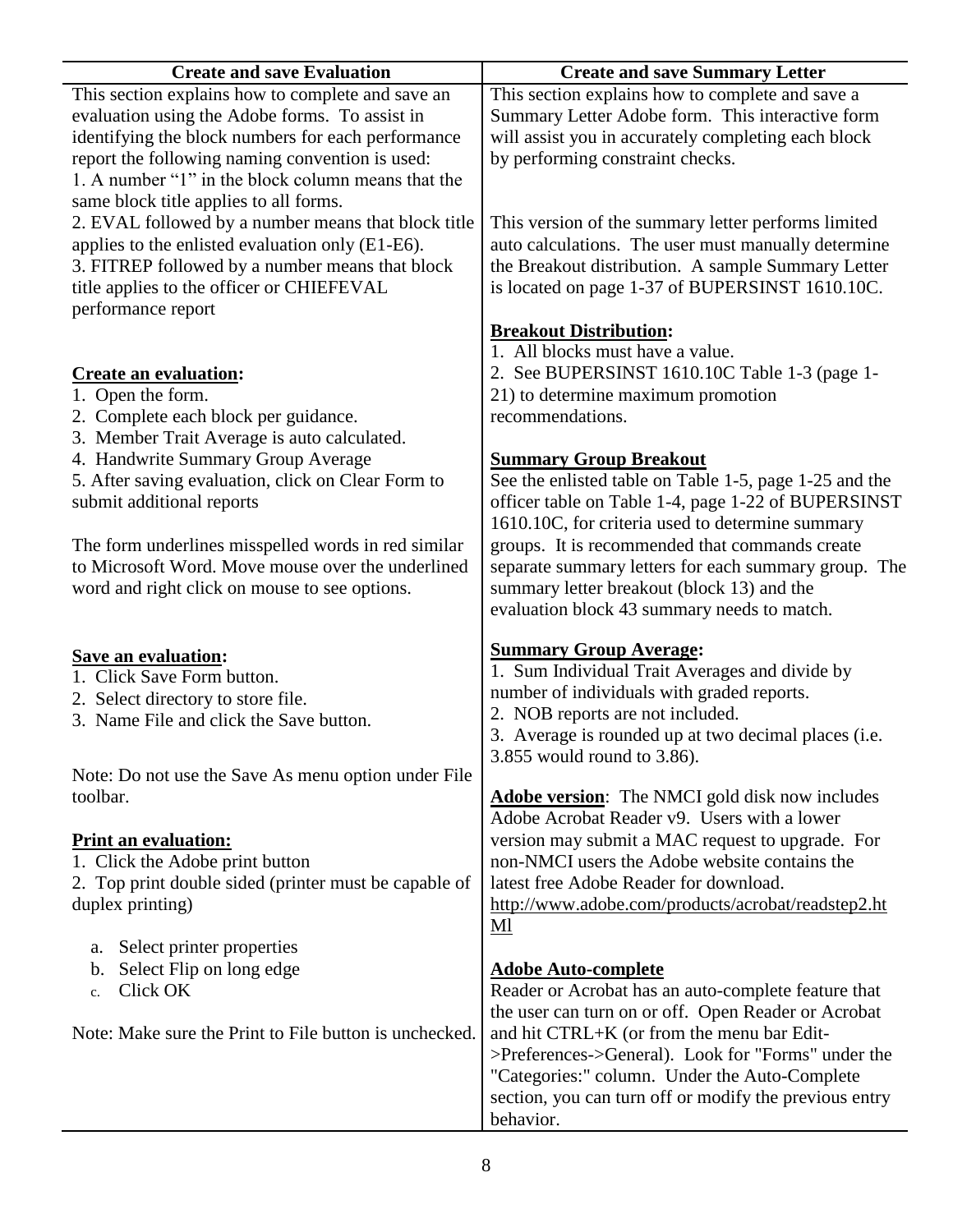| <b>Create and save Evaluation</b>                      | <b>Create and save Summary Letter</b>                  |
|--------------------------------------------------------|--------------------------------------------------------|
| This section explains how to complete and save an      | This section explains how to complete and save a       |
| evaluation using the Adobe forms. To assist in         | Summary Letter Adobe form. This interactive form       |
| identifying the block numbers for each performance     | will assist you in accurately completing each block    |
| report the following naming convention is used:        | by performing constraint checks.                       |
| 1. A number "1" in the block column means that the     |                                                        |
| same block title applies to all forms.                 |                                                        |
| 2. EVAL followed by a number means that block title    | This version of the summary letter performs limited    |
| applies to the enlisted evaluation only (E1-E6).       | auto calculations. The user must manually determine    |
| 3. FITREP followed by a number means that block        | the Breakout distribution. A sample Summary Letter     |
| title applies to the officer or CHIEFEVAL              | is located on page 1-37 of BUPERSINST 1610.10C.        |
| performance report                                     |                                                        |
|                                                        | <b>Breakout Distribution:</b>                          |
|                                                        | 1. All blocks must have a value.                       |
| <b>Create an evaluation:</b>                           | 2. See BUPERSINST 1610.10C Table 1-3 (page 1-          |
| 1. Open the form.                                      | 21) to determine maximum promotion                     |
| 2. Complete each block per guidance.                   | recommendations.                                       |
| 3. Member Trait Average is auto calculated.            |                                                        |
| 4. Handwrite Summary Group Average                     | <b>Summary Group Breakout</b>                          |
| 5. After saving evaluation, click on Clear Form to     | See the enlisted table on Table 1-5, page 1-25 and the |
| submit additional reports                              | officer table on Table 1-4, page 1-22 of BUPERSINST    |
|                                                        | 1610.10C, for criteria used to determine summary       |
| The form underlines misspelled words in red similar    | groups. It is recommended that commands create         |
| to Microsoft Word. Move mouse over the underlined      | separate summary letters for each summary group. The   |
| word and right click on mouse to see options.          | summary letter breakout (block 13) and the             |
|                                                        |                                                        |
|                                                        | evaluation block 43 summary needs to match.            |
|                                                        | <b>Summary Group Average:</b>                          |
| <b>Save an evaluation:</b>                             | 1. Sum Individual Trait Averages and divide by         |
| 1. Click Save Form button.                             | number of individuals with graded reports.             |
| 2. Select directory to store file.                     | 2. NOB reports are not included.                       |
| 3. Name File and click the Save button.                | 3. Average is rounded up at two decimal places (i.e.   |
|                                                        | 3.855 would round to 3.86).                            |
| Note: Do not use the Save As menu option under File    |                                                        |
| toolbar.                                               | <b>Adobe version:</b> The NMCI gold disk now includes  |
|                                                        | Adobe Acrobat Reader v9. Users with a lower            |
| <b>Print an evaluation:</b>                            | version may submit a MAC request to upgrade. For       |
| 1. Click the Adobe print button                        | non-NMCI users the Adobe website contains the          |
| 2. Top print double sided (printer must be capable of  | latest free Adobe Reader for download.                 |
| duplex printing)                                       | http://www.adobe.com/products/acrobat/readstep2.ht     |
|                                                        | $Ml$                                                   |
| Select printer properties<br>a.                        |                                                        |
| Select Flip on long edge<br>b.                         | <b>Adobe Auto-complete</b>                             |
| Click OK<br>c.                                         | Reader or Acrobat has an auto-complete feature that    |
|                                                        | the user can turn on or off. Open Reader or Acrobat    |
| Note: Make sure the Print to File button is unchecked. | and hit CTRL+K (or from the menu bar Edit-             |
|                                                        | >Preferences->General). Look for "Forms" under the     |
|                                                        | "Categories:" column. Under the Auto-Complete          |
|                                                        | section, you can turn off or modify the previous entry |
|                                                        |                                                        |
|                                                        | behavior.                                              |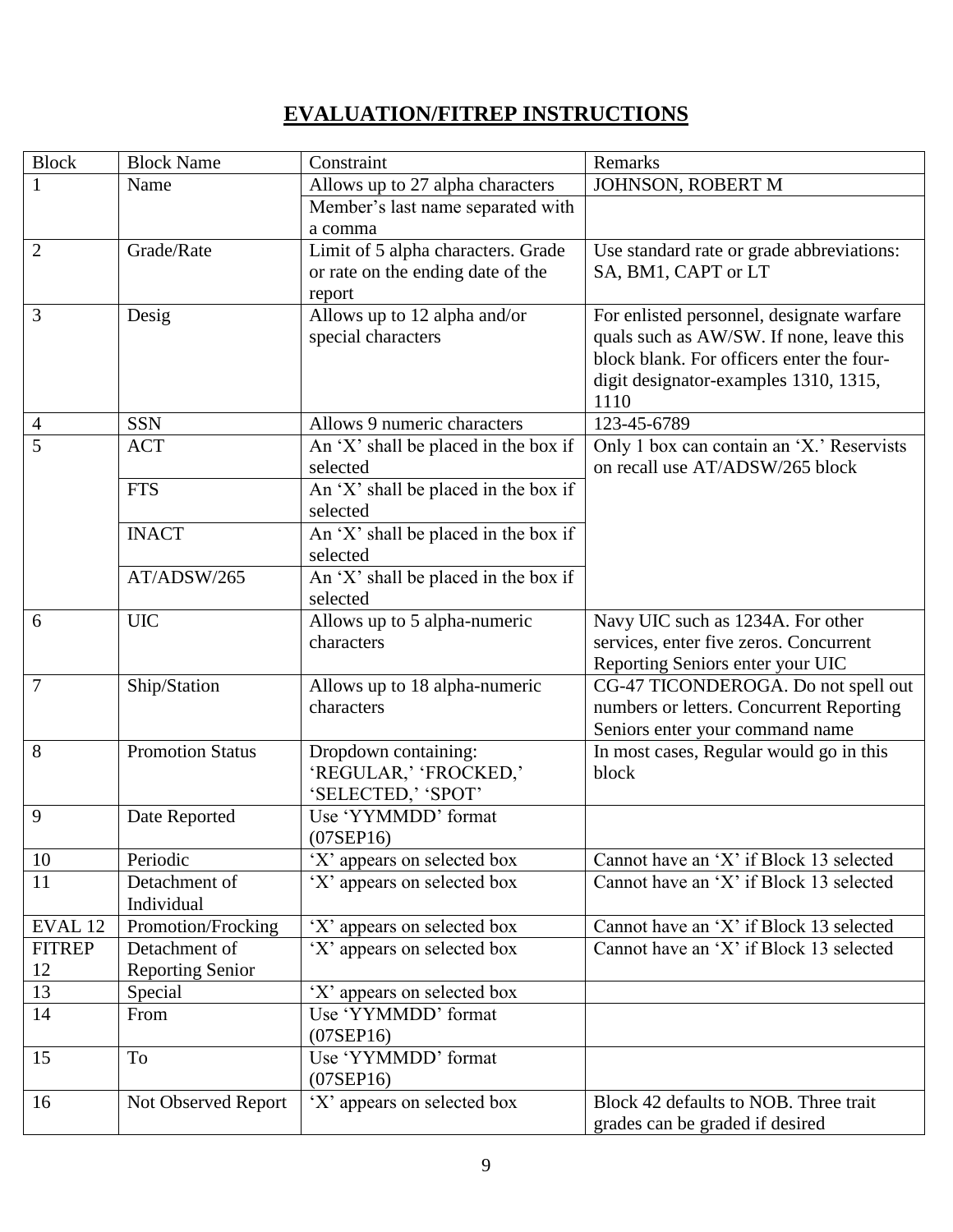# **EVALUATION/FITREP INSTRUCTIONS**

| <b>Block</b>   | <b>Block Name</b>           | Constraint                                       | Remarks                                                                            |
|----------------|-----------------------------|--------------------------------------------------|------------------------------------------------------------------------------------|
| $\mathbf{1}$   | Name                        | Allows up to 27 alpha characters                 | JOHNSON, ROBERT M                                                                  |
|                |                             | Member's last name separated with                |                                                                                    |
|                |                             | a comma                                          |                                                                                    |
| $\overline{2}$ | Grade/Rate                  | Limit of 5 alpha characters. Grade               | Use standard rate or grade abbreviations:                                          |
|                |                             | or rate on the ending date of the                | SA, BM1, CAPT or LT                                                                |
|                |                             | report                                           |                                                                                    |
| 3              | Desig                       | Allows up to 12 alpha and/or                     | For enlisted personnel, designate warfare                                          |
|                |                             | special characters                               | quals such as AW/SW. If none, leave this                                           |
|                |                             |                                                  | block blank. For officers enter the four-                                          |
|                |                             |                                                  | digit designator-examples 1310, 1315,                                              |
|                |                             |                                                  | 1110                                                                               |
| $\overline{4}$ | <b>SSN</b>                  | Allows 9 numeric characters                      | 123-45-6789                                                                        |
| 5              | <b>ACT</b>                  | An 'X' shall be placed in the box if<br>selected | Only 1 box can contain an 'X.' Reservists<br>on recall use AT/ADSW/265 block       |
|                | <b>FTS</b>                  | An 'X' shall be placed in the box if             |                                                                                    |
|                |                             | selected                                         |                                                                                    |
|                | <b>INACT</b>                | An 'X' shall be placed in the box if             |                                                                                    |
|                |                             | selected                                         |                                                                                    |
|                | AT/ADSW/265                 | An 'X' shall be placed in the box if             |                                                                                    |
|                |                             | selected                                         |                                                                                    |
| 6              | <b>UIC</b>                  | Allows up to 5 alpha-numeric                     | Navy UIC such as 1234A. For other                                                  |
|                |                             | characters                                       | services, enter five zeros. Concurrent                                             |
|                |                             |                                                  | Reporting Seniors enter your UIC                                                   |
| $\overline{7}$ | Ship/Station                | Allows up to 18 alpha-numeric                    | CG-47 TICONDEROGA. Do not spell out                                                |
|                |                             | characters                                       | numbers or letters. Concurrent Reporting                                           |
|                |                             |                                                  | Seniors enter your command name                                                    |
| 8              | <b>Promotion Status</b>     | Dropdown containing:                             | In most cases, Regular would go in this                                            |
|                |                             | 'REGULAR,' 'FROCKED,'                            | block                                                                              |
|                |                             | 'SELECTED,' 'SPOT'                               |                                                                                    |
| 9              | Date Reported               | Use 'YYMMDD' format                              |                                                                                    |
|                |                             | $(07$ SEP16 $)$                                  |                                                                                    |
| 10<br>11       | Periodic                    | 'X' appears on selected box                      | Cannot have an 'X' if Block 13 selected<br>Cannot have an 'X' if Block 13 selected |
|                | Detachment of<br>Individual | 'X' appears on selected box                      |                                                                                    |
| EVAL 12        | Promotion/Frocking          | 'X' appears on selected box                      | Cannot have an 'X' if Block 13 selected                                            |
| <b>FITREP</b>  | Detachment of               | 'X' appears on selected box                      | Cannot have an 'X' if Block 13 selected                                            |
| 12             | <b>Reporting Senior</b>     |                                                  |                                                                                    |
| 13             | Special                     | 'X' appears on selected box                      |                                                                                    |
| 14             | From                        | Use 'YYMMDD' format                              |                                                                                    |
|                |                             | $(07$ SEP16)                                     |                                                                                    |
| 15             | To                          | Use 'YYMMDD' format                              |                                                                                    |
|                |                             | $(07$ SEP16 $)$                                  |                                                                                    |
| 16             | Not Observed Report         | 'X' appears on selected box                      | Block 42 defaults to NOB. Three trait                                              |
|                |                             |                                                  | grades can be graded if desired                                                    |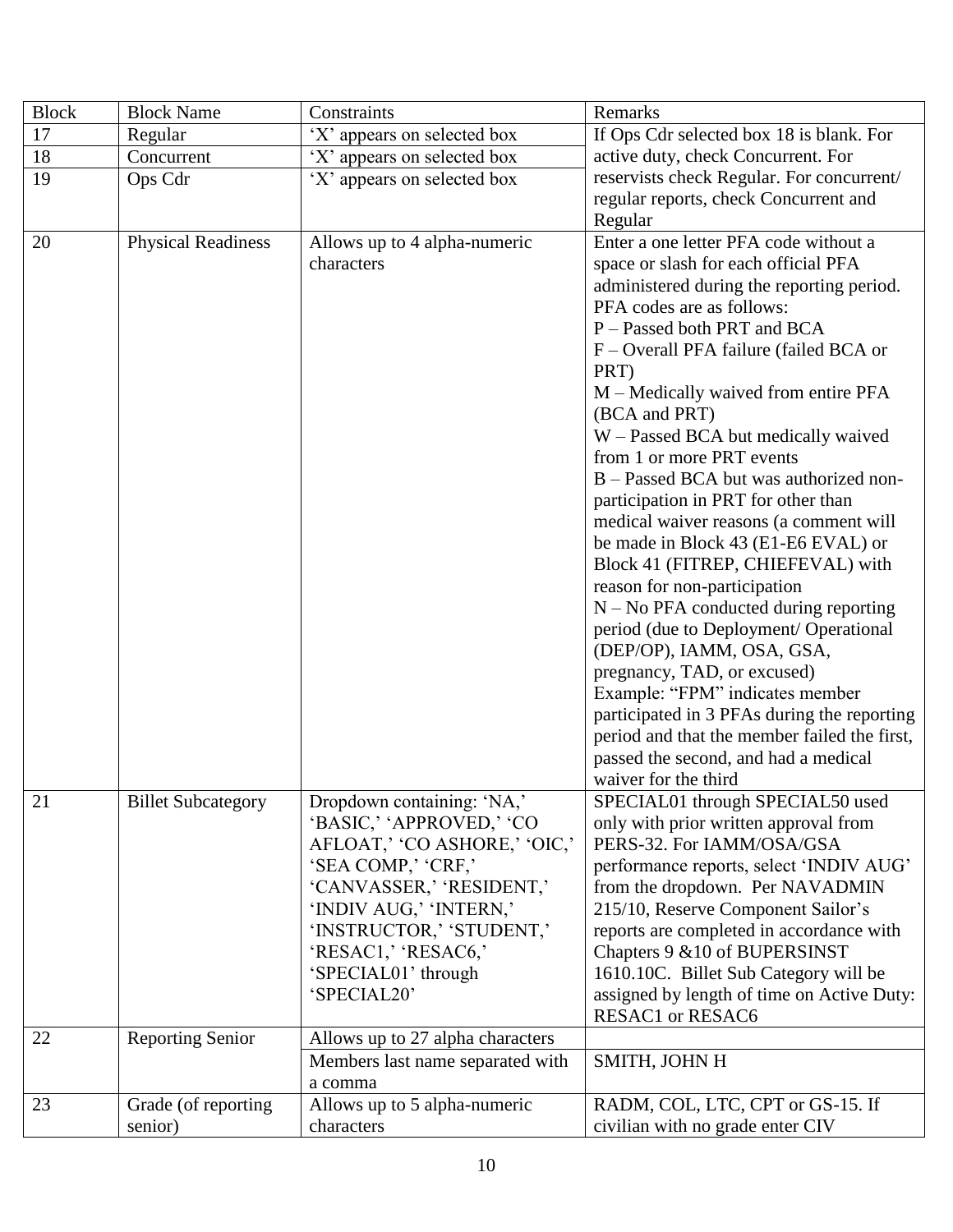| <b>Block</b> | <b>Block Name</b>               | Constraints                                                                                                                                                                                                                                                 | Remarks                                                                                                                                                                                                                                                                                                                                                                                                                                                                                                                                                                                                                                                                                                                        |
|--------------|---------------------------------|-------------------------------------------------------------------------------------------------------------------------------------------------------------------------------------------------------------------------------------------------------------|--------------------------------------------------------------------------------------------------------------------------------------------------------------------------------------------------------------------------------------------------------------------------------------------------------------------------------------------------------------------------------------------------------------------------------------------------------------------------------------------------------------------------------------------------------------------------------------------------------------------------------------------------------------------------------------------------------------------------------|
| 17           | Regular                         | 'X' appears on selected box                                                                                                                                                                                                                                 | If Ops Cdr selected box 18 is blank. For                                                                                                                                                                                                                                                                                                                                                                                                                                                                                                                                                                                                                                                                                       |
| 18           | Concurrent                      | 'X' appears on selected box                                                                                                                                                                                                                                 | active duty, check Concurrent. For                                                                                                                                                                                                                                                                                                                                                                                                                                                                                                                                                                                                                                                                                             |
| 19           | Ops Cdr                         | 'X' appears on selected box                                                                                                                                                                                                                                 | reservists check Regular. For concurrent/                                                                                                                                                                                                                                                                                                                                                                                                                                                                                                                                                                                                                                                                                      |
|              |                                 |                                                                                                                                                                                                                                                             | regular reports, check Concurrent and                                                                                                                                                                                                                                                                                                                                                                                                                                                                                                                                                                                                                                                                                          |
|              |                                 |                                                                                                                                                                                                                                                             | Regular                                                                                                                                                                                                                                                                                                                                                                                                                                                                                                                                                                                                                                                                                                                        |
| 20           | <b>Physical Readiness</b>       | Allows up to 4 alpha-numeric<br>characters                                                                                                                                                                                                                  | Enter a one letter PFA code without a<br>space or slash for each official PFA<br>administered during the reporting period.<br>PFA codes are as follows:<br>P - Passed both PRT and BCA<br>F – Overall PFA failure (failed BCA or<br>PRT)<br>M – Medically waived from entire PFA<br>(BCA and PRT)<br>W – Passed BCA but medically waived<br>from 1 or more PRT events<br>B – Passed BCA but was authorized non-<br>participation in PRT for other than<br>medical waiver reasons (a comment will<br>be made in Block 43 (E1-E6 EVAL) or<br>Block 41 (FITREP, CHIEFEVAL) with<br>reason for non-participation<br>$N - No$ PFA conducted during reporting<br>period (due to Deployment/ Operational<br>(DEP/OP), IAMM, OSA, GSA, |
|              |                                 |                                                                                                                                                                                                                                                             | pregnancy, TAD, or excused)<br>Example: "FPM" indicates member<br>participated in 3 PFAs during the reporting<br>period and that the member failed the first,<br>passed the second, and had a medical<br>waiver for the third                                                                                                                                                                                                                                                                                                                                                                                                                                                                                                  |
| 21           | <b>Billet Subcategory</b>       | Dropdown containing: 'NA,'<br>'BASIC,' 'APPROVED,' 'CO<br>AFLOAT,' 'CO ASHORE,' 'OIC,'<br>'SEA COMP,' 'CRF,'<br>'CANVASSER,' 'RESIDENT,'<br>'INDIV AUG,' 'INTERN,'<br>'INSTRUCTOR,' 'STUDENT,'<br>'RESAC1,' 'RESAC6,'<br>'SPECIAL01' through<br>'SPECIAL20' | SPECIAL01 through SPECIAL50 used<br>only with prior written approval from<br>PERS-32. For IAMM/OSA/GSA<br>performance reports, select 'INDIV AUG'<br>from the dropdown. Per NAVADMIN<br>215/10, Reserve Component Sailor's<br>reports are completed in accordance with<br>Chapters 9 & 10 of BUPERSINST<br>1610.10C. Billet Sub Category will be<br>assigned by length of time on Active Duty:<br><b>RESAC1</b> or <b>RESAC6</b>                                                                                                                                                                                                                                                                                               |
| 22           | <b>Reporting Senior</b>         | Allows up to 27 alpha characters<br>Members last name separated with                                                                                                                                                                                        | SMITH, JOHN H                                                                                                                                                                                                                                                                                                                                                                                                                                                                                                                                                                                                                                                                                                                  |
|              |                                 | a comma                                                                                                                                                                                                                                                     |                                                                                                                                                                                                                                                                                                                                                                                                                                                                                                                                                                                                                                                                                                                                |
| 23           | Grade (of reporting)<br>senior) | Allows up to 5 alpha-numeric<br>characters                                                                                                                                                                                                                  | RADM, COL, LTC, CPT or GS-15. If<br>civilian with no grade enter CIV                                                                                                                                                                                                                                                                                                                                                                                                                                                                                                                                                                                                                                                           |
|              |                                 |                                                                                                                                                                                                                                                             |                                                                                                                                                                                                                                                                                                                                                                                                                                                                                                                                                                                                                                                                                                                                |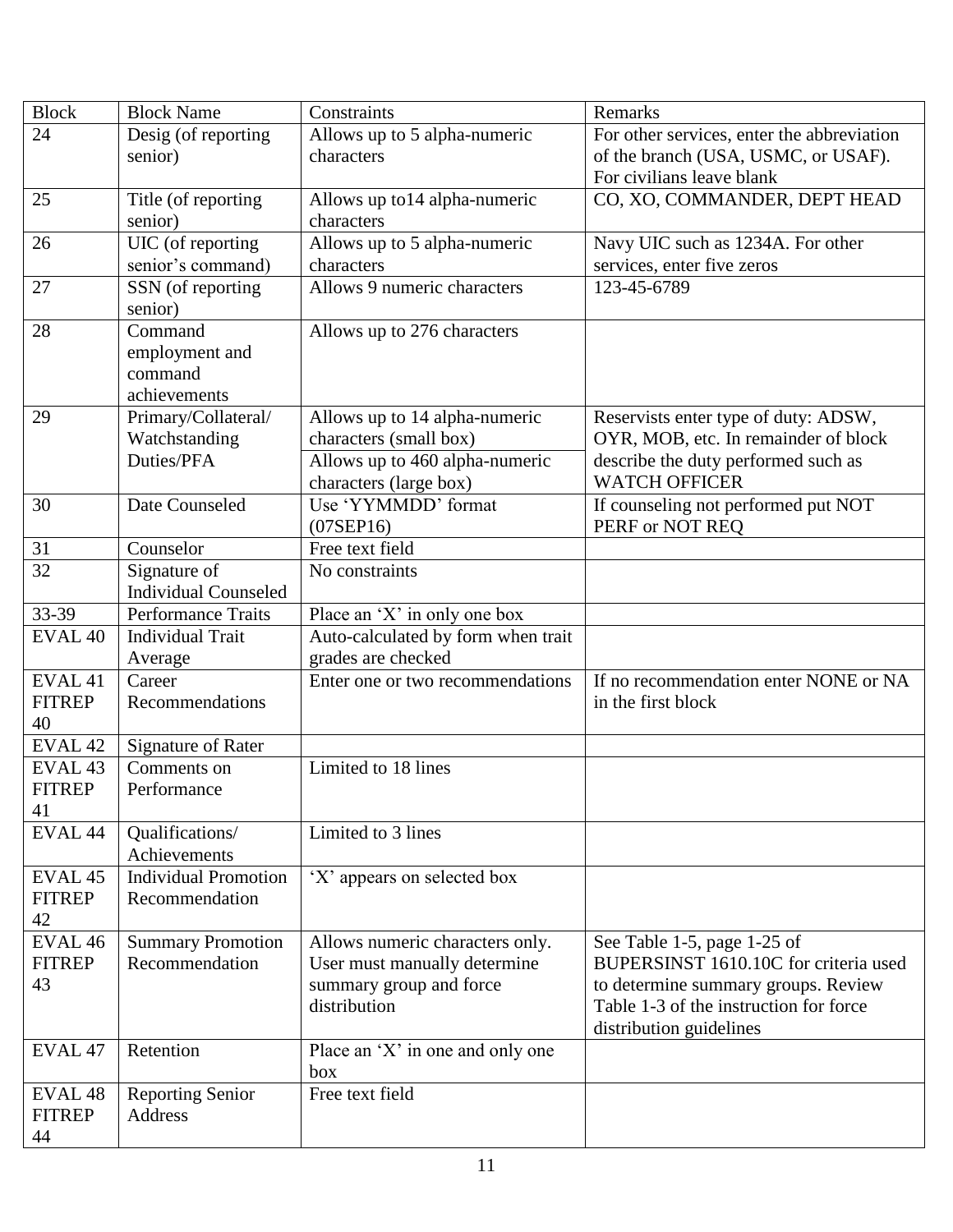| <b>Block</b>        | <b>Block Name</b>                    | Constraints                                             | Remarks                                                                      |
|---------------------|--------------------------------------|---------------------------------------------------------|------------------------------------------------------------------------------|
| 24                  | Desig (of reporting                  | Allows up to 5 alpha-numeric                            | For other services, enter the abbreviation                                   |
|                     | senior)                              | characters                                              | of the branch (USA, USMC, or USAF).                                          |
|                     |                                      |                                                         | For civilians leave blank                                                    |
| 25                  | Title (of reporting                  | Allows up to 14 alpha-numeric                           | CO, XO, COMMANDER, DEPT HEAD                                                 |
|                     | senior)                              | characters                                              |                                                                              |
| 26                  | UIC (of reporting                    | Allows up to 5 alpha-numeric                            | Navy UIC such as 1234A. For other                                            |
|                     | senior's command)                    | characters                                              | services, enter five zeros                                                   |
| 27                  | SSN (of reporting                    | Allows 9 numeric characters                             | 123-45-6789                                                                  |
|                     | senior)                              |                                                         |                                                                              |
| 28                  | Command                              | Allows up to 276 characters                             |                                                                              |
|                     | employment and                       |                                                         |                                                                              |
|                     | command                              |                                                         |                                                                              |
| 29                  | achievements                         |                                                         |                                                                              |
|                     | Primary/Collateral/<br>Watchstanding | Allows up to 14 alpha-numeric<br>characters (small box) | Reservists enter type of duty: ADSW,<br>OYR, MOB, etc. In remainder of block |
|                     | Duties/PFA                           | Allows up to 460 alpha-numeric                          | describe the duty performed such as                                          |
|                     |                                      | characters (large box)                                  | <b>WATCH OFFICER</b>                                                         |
| 30                  | Date Counseled                       | Use 'YYMMDD' format                                     | If counseling not performed put NOT                                          |
|                     |                                      | $(07$ SEP16 $)$                                         | PERF or NOT REO                                                              |
| 31                  | Counselor                            | Free text field                                         |                                                                              |
| 32                  | Signature of                         | No constraints                                          |                                                                              |
|                     | <b>Individual Counseled</b>          |                                                         |                                                                              |
| 33-39               | <b>Performance Traits</b>            | Place an 'X' in only one box                            |                                                                              |
| EVAL <sub>40</sub>  | <b>Individual Trait</b>              | Auto-calculated by form when trait                      |                                                                              |
|                     | Average                              | grades are checked                                      |                                                                              |
| EVAL 41             | Career                               | Enter one or two recommendations                        | If no recommendation enter NONE or NA                                        |
| <b>FITREP</b>       | Recommendations                      |                                                         | in the first block                                                           |
| 40                  |                                      |                                                         |                                                                              |
| EVAL <sub>42</sub>  | <b>Signature of Rater</b>            |                                                         |                                                                              |
| EVAL <sub>43</sub>  | Comments on                          | Limited to 18 lines                                     |                                                                              |
| <b>FITREP</b>       | Performance                          |                                                         |                                                                              |
| 41                  |                                      |                                                         |                                                                              |
| EVAL 44             | Qualifications/                      | Limited to 3 lines                                      |                                                                              |
|                     | Achievements                         |                                                         |                                                                              |
| EVAL <sub>45</sub>  | <b>Individual Promotion</b>          | 'X' appears on selected box                             |                                                                              |
| <b>FITREP</b><br>42 | Recommendation                       |                                                         |                                                                              |
| EVAL <sub>46</sub>  | <b>Summary Promotion</b>             | Allows numeric characters only.                         |                                                                              |
| <b>FITREP</b>       | Recommendation                       | User must manually determine                            | See Table 1-5, page 1-25 of<br>BUPERSINST 1610.10C for criteria used         |
| 43                  |                                      | summary group and force                                 | to determine summary groups. Review                                          |
|                     |                                      | distribution                                            | Table 1-3 of the instruction for force                                       |
|                     |                                      |                                                         | distribution guidelines                                                      |
| EVAL <sub>47</sub>  | Retention                            | Place an 'X' in one and only one                        |                                                                              |
|                     |                                      | box                                                     |                                                                              |
| EVAL <sub>48</sub>  | <b>Reporting Senior</b>              | Free text field                                         |                                                                              |
| <b>FITREP</b>       | Address                              |                                                         |                                                                              |
| 44                  |                                      |                                                         |                                                                              |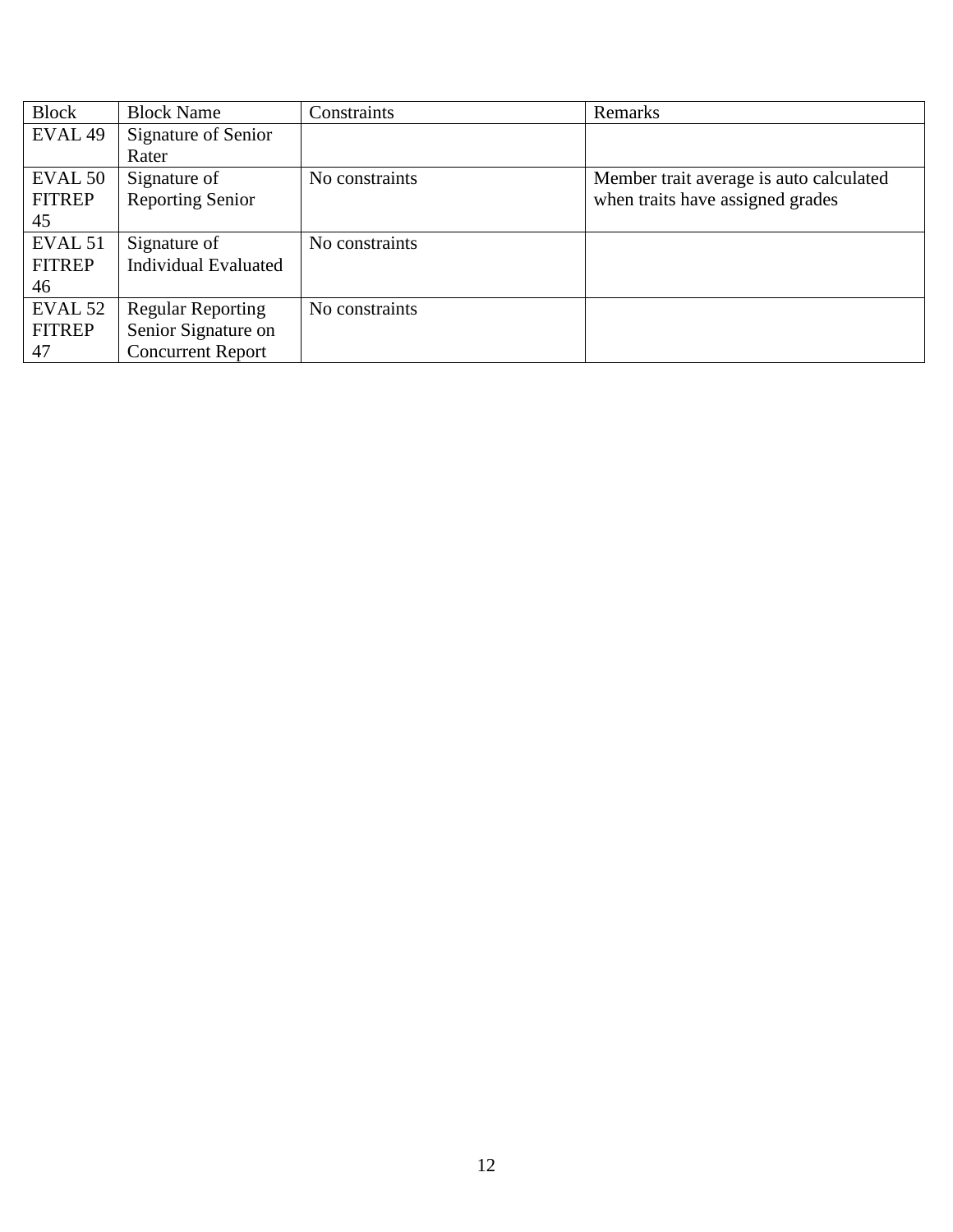| <b>Block</b>       | <b>Block Name</b>           | Constraints    | Remarks                                 |
|--------------------|-----------------------------|----------------|-----------------------------------------|
| EVAL <sub>49</sub> | Signature of Senior         |                |                                         |
|                    | Rater                       |                |                                         |
| EVAL 50            | Signature of                | No constraints | Member trait average is auto calculated |
| <b>FITREP</b>      | <b>Reporting Senior</b>     |                | when traits have assigned grades        |
| 45                 |                             |                |                                         |
| EVAL <sub>51</sub> | Signature of                | No constraints |                                         |
| <b>FITREP</b>      | <b>Individual Evaluated</b> |                |                                         |
| 46                 |                             |                |                                         |
| EVAL 52            | <b>Regular Reporting</b>    | No constraints |                                         |
| <b>FITREP</b>      | Senior Signature on         |                |                                         |
| 47                 | <b>Concurrent Report</b>    |                |                                         |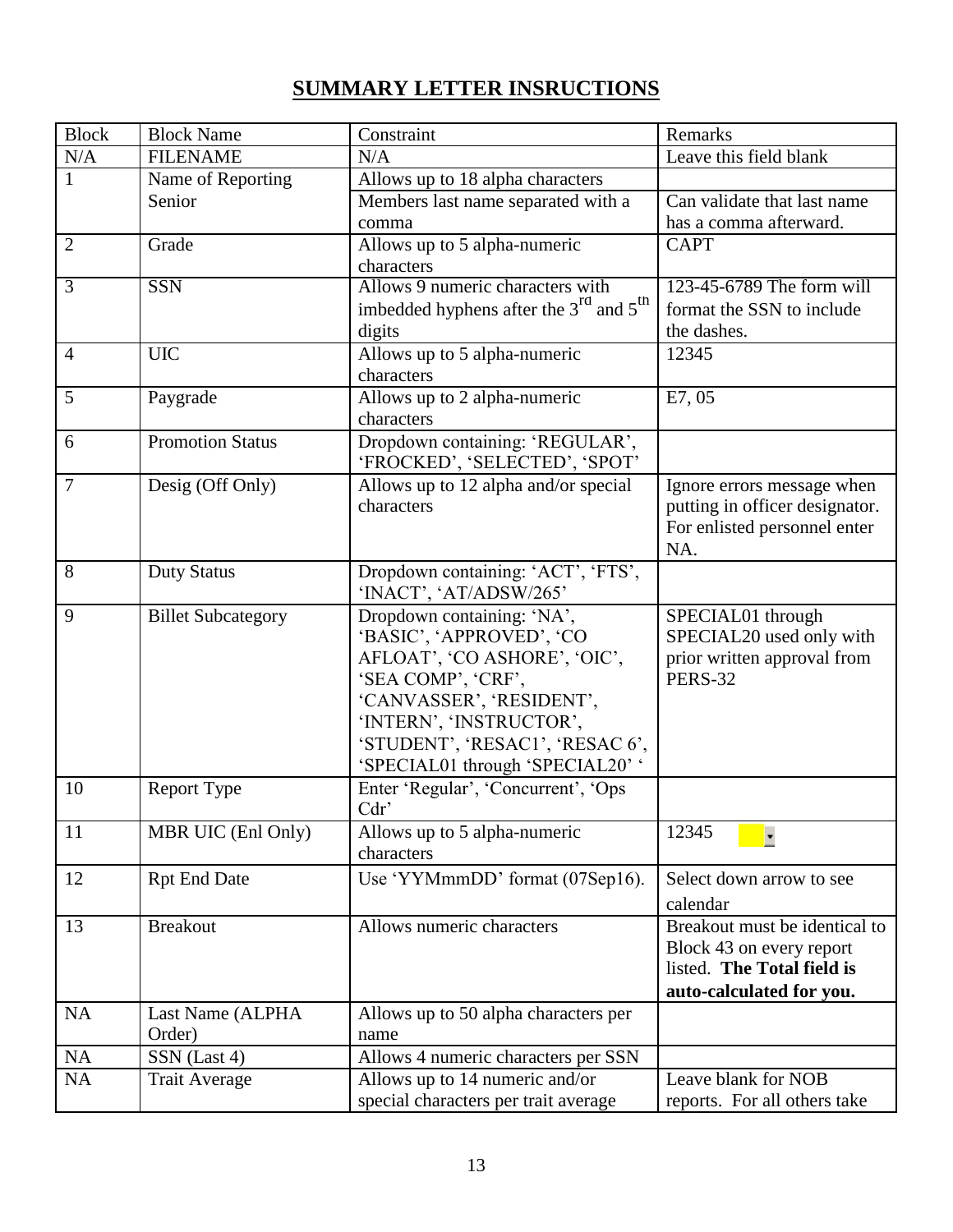# **SUMMARY LETTER INSRUCTIONS**

| <b>Block</b>   | <b>Block Name</b>         | Constraint                                                     | Remarks                                       |
|----------------|---------------------------|----------------------------------------------------------------|-----------------------------------------------|
| N/A            | <b>FILENAME</b>           | N/A                                                            | Leave this field blank                        |
| $\mathbf{1}$   | Name of Reporting         | Allows up to 18 alpha characters                               |                                               |
|                | Senior                    | Members last name separated with a                             | Can validate that last name                   |
|                |                           | comma                                                          | has a comma afterward.                        |
| $\overline{2}$ | Grade                     | Allows up to 5 alpha-numeric                                   | <b>CAPT</b>                                   |
|                |                           | characters                                                     |                                               |
| $\overline{3}$ | <b>SSN</b>                | Allows 9 numeric characters with                               | 123-45-6789 The form will                     |
|                |                           | imbedded hyphens after the $3^{\text{rd}}$ and $5^{\text{th}}$ | format the SSN to include                     |
|                |                           | digits                                                         | the dashes.                                   |
| $\overline{4}$ | <b>UIC</b>                | Allows up to 5 alpha-numeric                                   | 12345                                         |
|                |                           | characters                                                     |                                               |
| 5              | Paygrade                  | Allows up to $\overline{2}$ alpha-numeric                      | E7,05                                         |
|                |                           | characters                                                     |                                               |
| 6              | <b>Promotion Status</b>   | Dropdown containing: 'REGULAR',                                |                                               |
|                |                           | 'FROCKED', 'SELECTED', 'SPOT'                                  |                                               |
| $\overline{7}$ | Desig (Off Only)          | Allows up to 12 alpha and/or special                           | Ignore errors message when                    |
|                |                           | characters                                                     | putting in officer designator.                |
|                |                           |                                                                | For enlisted personnel enter                  |
|                |                           |                                                                | NA.                                           |
| 8              | <b>Duty Status</b>        | Dropdown containing: 'ACT', 'FTS',                             |                                               |
|                |                           | 'INACT', 'AT/ADSW/265'                                         |                                               |
| 9              | <b>Billet Subcategory</b> | Dropdown containing: 'NA',                                     | SPECIAL01 through                             |
|                |                           | 'BASIC', 'APPROVED', 'CO                                       | SPECIAL20 used only with                      |
|                |                           | AFLOAT', 'CO ASHORE', 'OIC',<br>'SEA COMP', 'CRF',             | prior written approval from<br><b>PERS-32</b> |
|                |                           | 'CANVASSER', 'RESIDENT',                                       |                                               |
|                |                           | 'INTERN', 'INSTRUCTOR',                                        |                                               |
|                |                           | 'STUDENT', 'RESAC1', 'RESAC6',                                 |                                               |
|                |                           | 'SPECIAL01 through 'SPECIAL20' '                               |                                               |
| 10             | Report Type               | Enter 'Regular', 'Concurrent', 'Ops                            |                                               |
|                |                           | Cdr                                                            |                                               |
| 11             | MBR UIC (Enl Only)        | Allows up to 5 alpha-numeric                                   | 12345                                         |
|                |                           | characters                                                     |                                               |
| 12             | <b>Rpt End Date</b>       | Use 'YYMmmDD' format (07Sep16).                                | Select down arrow to see                      |
|                |                           |                                                                | calendar                                      |
| 13             | <b>Breakout</b>           | Allows numeric characters                                      | Breakout must be identical to                 |
|                |                           |                                                                | Block 43 on every report                      |
|                |                           |                                                                | listed. The Total field is                    |
|                |                           |                                                                | auto-calculated for you.                      |
| <b>NA</b>      | Last Name (ALPHA          | Allows up to 50 alpha characters per                           |                                               |
|                | Order)                    | name                                                           |                                               |
| <b>NA</b>      | SSN (Last 4)              | Allows 4 numeric characters per SSN                            |                                               |
| NA             | <b>Trait Average</b>      | Allows up to 14 numeric and/or                                 | Leave blank for NOB                           |
|                |                           | special characters per trait average                           | reports. For all others take                  |